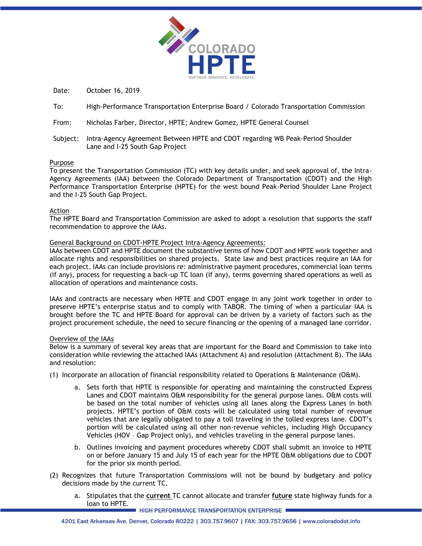

Date: October 16, 2019

- To: High-Performance Transportation Enterprise Board / Colorado Transportation Commission
- From: Nicholas Farber, Director, HPTE; Andrew Gomez, HPTE General Counsel
- Subject: Intra-Agency Agreement Between HPTE and CDOT regarding WB Peak-Period Shoulder Lane and I-25 South Gap Project

### Purpose

To present the Transportation Commission (TC) with key details under, and seek approval of, the Intra-Agency Agreements (IAA) between the Colorado Department of Transportation (CDOT) and the High Performance Transportation Enterprise (HPTE) for the west bound Peak-Period Shoulder Lane Project and the I-25 South Gap Project.

### Action

The HPTE Board and Transportation Commission are asked to adopt a resolution that supports the staff recommendation to approve the IAAs.

### General Background on CDOT-HPTE Project Intra-Agency Agreements:

IAAs between CDOT and HPTE document the substantive terms of how CDOT and HPTE work together and allocate rights and responsibilities on shared projects. State law and best practices require an IAA for each project. IAAs can include provisions re: administrative payment procedures, commercial loan terms (if any), process for requesting a back-up TC loan (if any), terms governing shared operations as well as allocation of operations and maintenance costs.

IAAs and contracts are necessary when HPTE and CDOT engage in any joint work together in order to preserve HPTE's enterprise status and to comply with TABOR. The timing of when a particular IAA is brought before the TC and HPTE Board for approval can be driven by a variety of factors such as the project procurement schedule, the need to secure financing or the opening of a managed lane corridor.

# Overview of the IAAs

Below is a summary of several key areas that are important for the Board and Commission to take into consideration while reviewing the attached IAAs (Attachment A) and resolution (Attachment B). The IAAs and resolution:

- (1) Incorporate an allocation of financial responsibility related to Operations & Maintenance (O&M).
	- a. Sets forth that HPTE is responsible for operating and maintaining the constructed Express Lanes and CDOT maintains O&M responsibility for the general purpose lanes. O&M costs will be based on the total number of vehicles using all lanes along the Express Lanes in both projects. HPTE's portion of O&M costs will be calculated using total number of revenue vehicles that are legally obligated to pay a toll traveling in the tolled express lane. CDOT's portion will be calculated using all other non-revenue vehicles, including High Occupancy Vehicles (HOV – Gap Project only), and vehicles traveling in the general purpose lanes.
	- b. Outlines invoicing and payment procedures whereby CDOT shall submit an invoice to HPTE on or before January 15 and July 15 of each year for the HPTE O&M obligations due to CDOT for the prior six month period.
- (2) Recognizes that future Transportation Commissions will not be bound by budgetary and policy decisions made by the current TC.
	- a. Stipulates that the **current** TC cannot allocate and transfer **future** state highway funds for a loan to HPTE.

**I HIGH PERFORMANCE TRANSPORTATION ENTERPRISE**